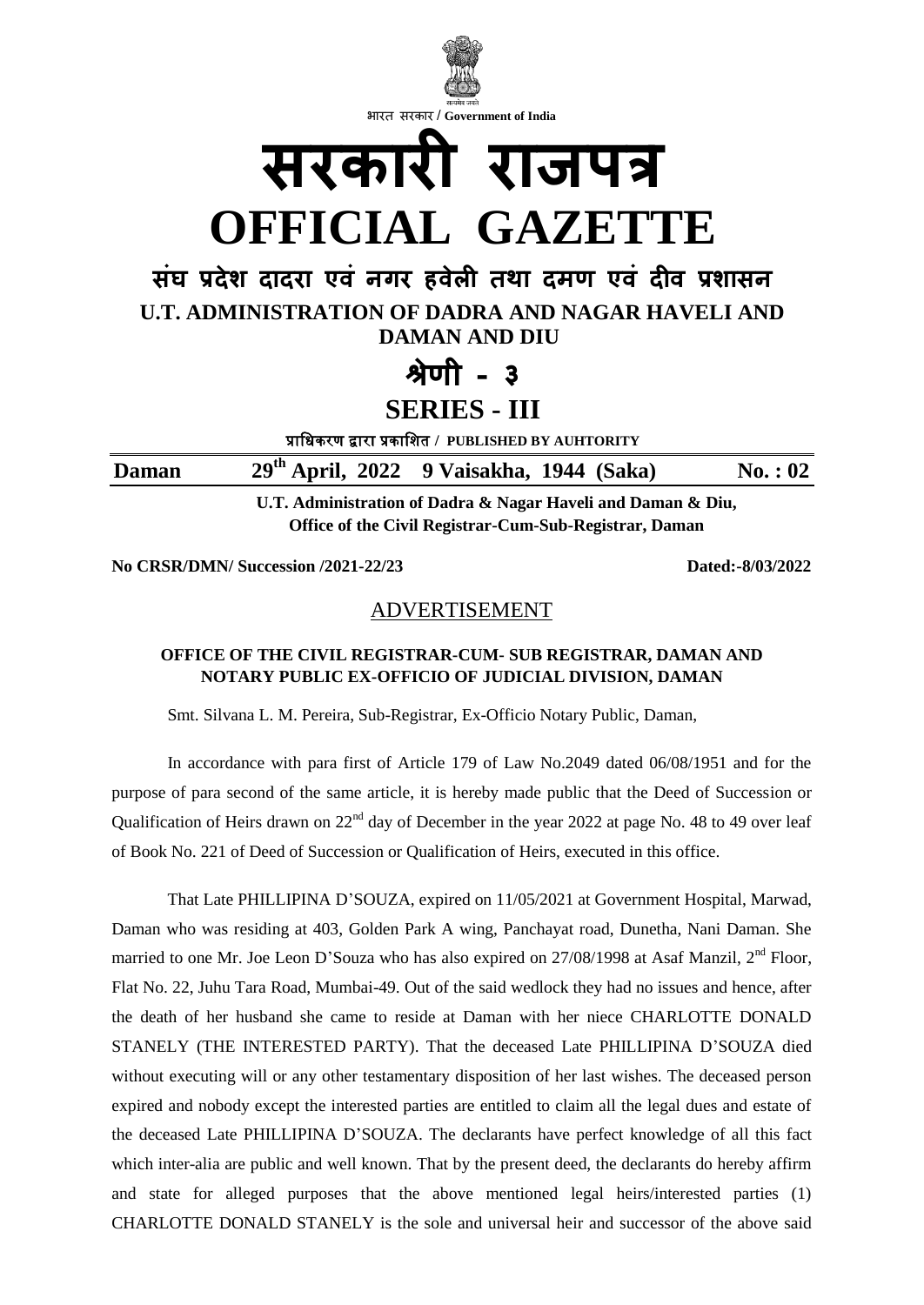

**No CRSR/DMN/ Succession /2021-22/23 Dated:-8/03/2022**

## ADVERTISEMENT

### **OFFICE OF THE CIVIL REGISTRAR-CUM- SUB REGISTRAR, DAMAN AND NOTARY PUBLIC EX-OFFICIO OF JUDICIAL DIVISION, DAMAN**

Smt. Silvana L. M. Pereira, Sub-Registrar, Ex-Officio Notary Public, Daman,

In accordance with para first of Article 179 of Law No.2049 dated 06/08/1951 and for the purpose of para second of the same article, it is hereby made public that the Deed of Succession or Qualification of Heirs drawn on 22<sup>nd</sup> day of December in the year 2022 at page No. 48 to 49 over leaf of Book No. 221 of Deed of Succession or Qualification of Heirs, executed in this office.

That Late PHILLIPINA D'SOUZA, expired on 11/05/2021 at Government Hospital, Marwad, Daman who was residing at 403, Golden Park A wing, Panchayat road, Dunetha, Nani Daman. She married to one Mr. Joe Leon D'Souza who has also expired on 27/08/1998 at Asaf Manzil, 2<sup>nd</sup> Floor, Flat No. 22, Juhu Tara Road, Mumbai-49. Out of the said wedlock they had no issues and hence, after the death of her husband she came to reside at Daman with her niece CHARLOTTE DONALD STANELY (THE INTERESTED PARTY). That the deceased Late PHILLIPINA D'SOUZA died without executing will or any other testamentary disposition of her last wishes. The deceased person expired and nobody except the interested parties are entitled to claim all the legal dues and estate of the deceased Late PHILLIPINA D'SOUZA. The declarants have perfect knowledge of all this fact which inter-alia are public and well known. That by the present deed, the declarants do hereby affirm and state for alleged purposes that the above mentioned legal heirs/interested parties (1) CHARLOTTE DONALD STANELY is the sole and universal heir and successor of the above said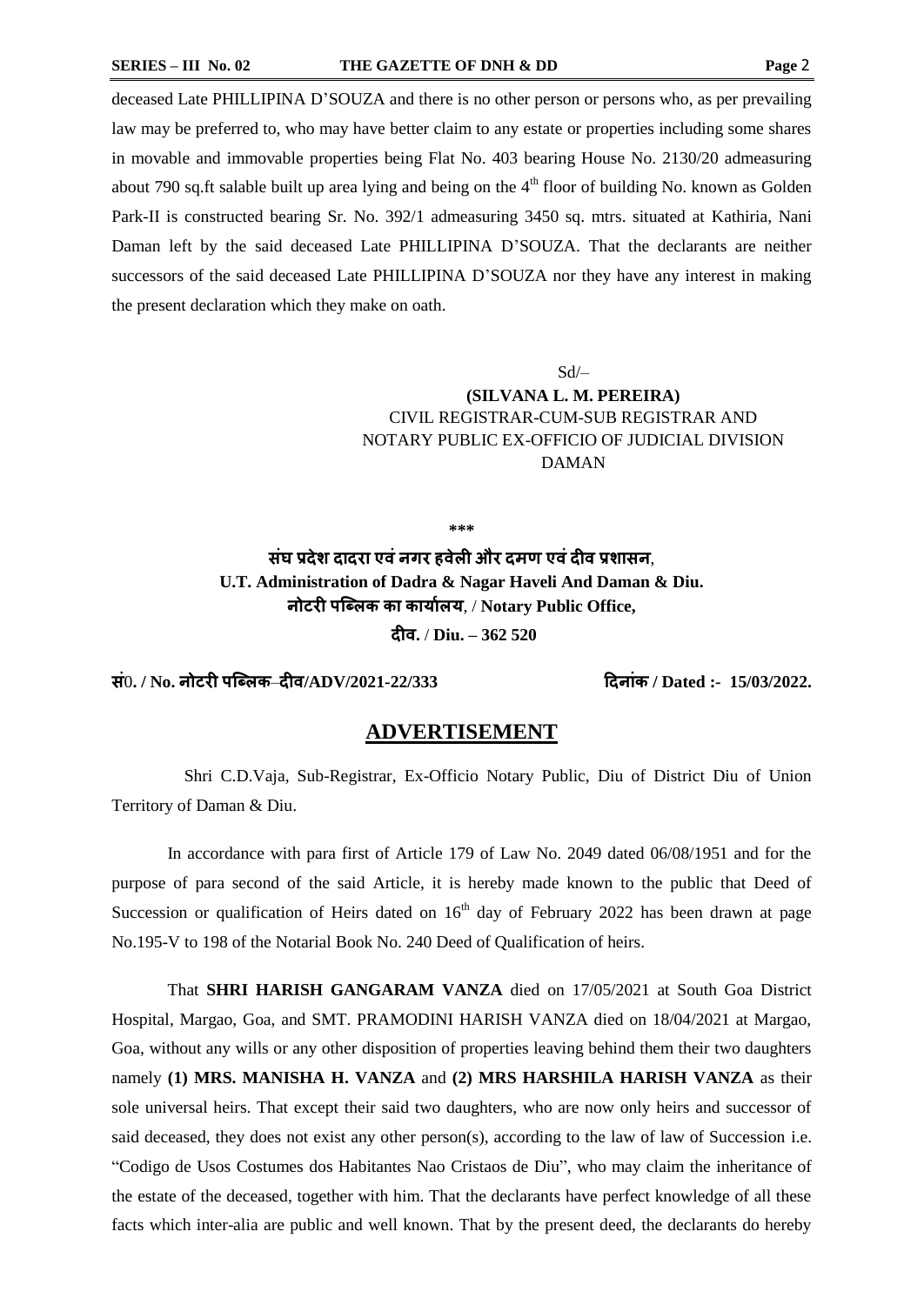deceased Late PHILLIPINA D'SOUZA and there is no other person or persons who, as per prevailing law may be preferred to, who may have better claim to any estate or properties including some shares in movable and immovable properties being Flat No. 403 bearing House No. 2130/20 admeasuring about 790 sq.ft salable built up area lying and being on the  $4<sup>th</sup>$  floor of building No. known as Golden Park-II is constructed bearing Sr. No. 392/1 admeasuring 3450 sq. mtrs. situated at Kathiria, Nani Daman left by the said deceased Late PHILLIPINA D'SOUZA. That the declarants are neither successors of the said deceased Late PHILLIPINA D'SOUZA nor they have any interest in making the present declaration which they make on oath.

## $Sd$ **(SILVANA L. M. PEREIRA)** CIVIL REGISTRAR-CUM-SUB REGISTRAR AND NOTARY PUBLIC EX-OFFICIO OF JUDICIAL DIVISION DAMAN

**\*\*\***

**संघ प्रदेश दादरा एवंनगर हवेली और दमण एवंदीव प्रशासन**, **U.T. Administration of Dadra & Nagar Haveli And Daman & Diu. नोटरी पब्ललक का कार्ाालर्**, / **Notary Public Office, दीव.** / **Diu. – 362 520**

**सं**0**. / No. नोटरी पब्ललक**–**दीव/ADV/2021-22/333 ददनांक / Dated :- 15/03/2022.**

#### **ADVERTISEMENT**

 Shri C.D.Vaja, Sub-Registrar, Ex-Officio Notary Public, Diu of District Diu of Union Territory of Daman & Diu.

In accordance with para first of Article 179 of Law No. 2049 dated 06/08/1951 and for the purpose of para second of the said Article, it is hereby made known to the public that Deed of Succession or qualification of Heirs dated on  $16<sup>th</sup>$  day of February 2022 has been drawn at page No.195-V to 198 of the Notarial Book No. 240 Deed of Qualification of heirs.

That **SHRI HARISH GANGARAM VANZA** died on 17/05/2021 at South Goa District Hospital, Margao, Goa, and SMT. PRAMODINI HARISH VANZA died on 18/04/2021 at Margao, Goa, without any wills or any other disposition of properties leaving behind them their two daughters namely **(1) MRS. MANISHA H. VANZA** and **(2) MRS HARSHILA HARISH VANZA** as their sole universal heirs. That except their said two daughters, who are now only heirs and successor of said deceased, they does not exist any other person(s), according to the law of law of Succession i.e. "Codigo de Usos Costumes dos Habitantes Nao Cristaos de Diu", who may claim the inheritance of the estate of the deceased, together with him. That the declarants have perfect knowledge of all these facts which inter-alia are public and well known. That by the present deed, the declarants do hereby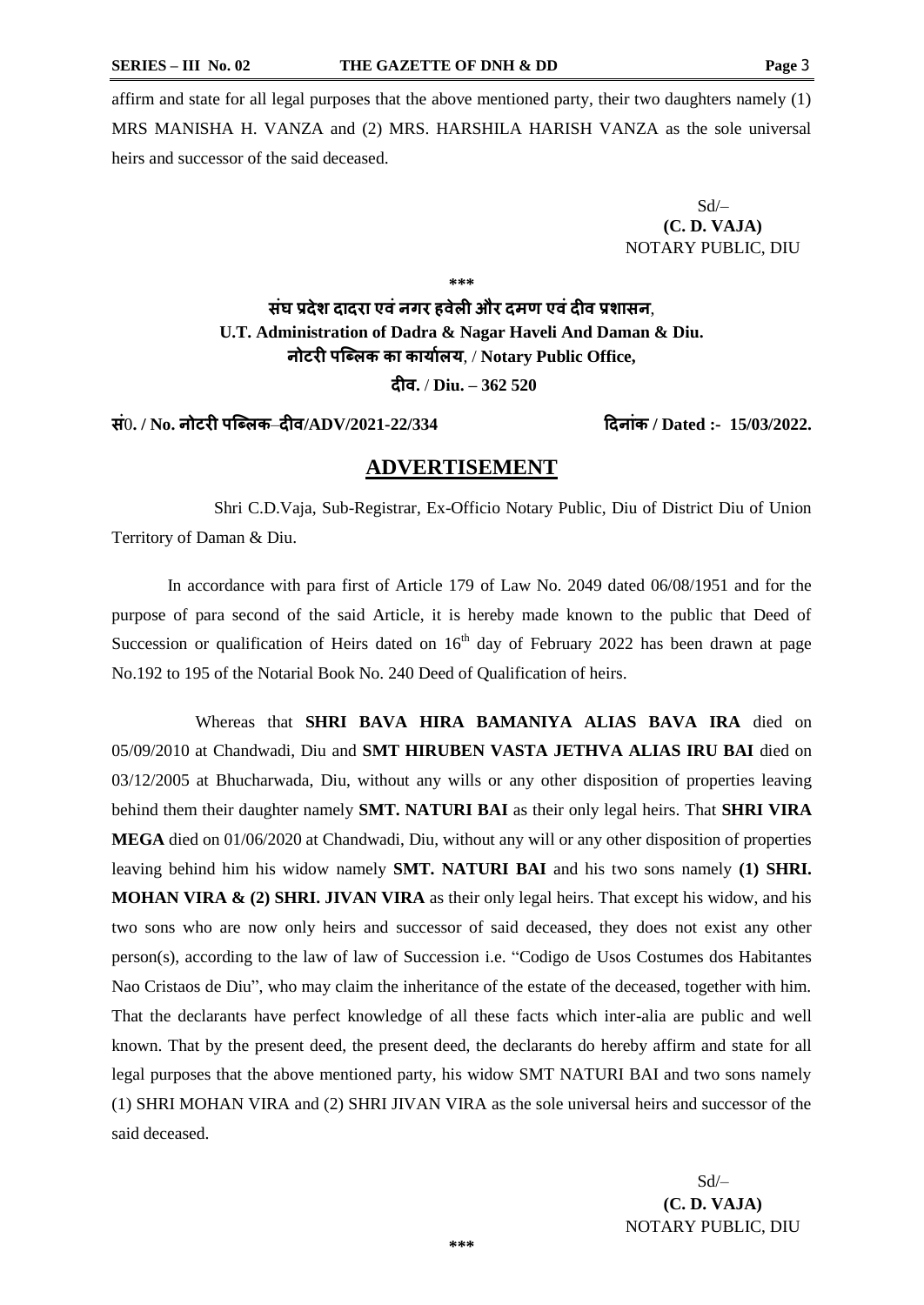affirm and state for all legal purposes that the above mentioned party, their two daughters namely (1) MRS MANISHA H. VANZA and (2) MRS. HARSHILA HARISH VANZA as the sole universal heirs and successor of the said deceased.

> $Sd$ **(C. D. VAJA)** NOTARY PUBLIC, DIU

**\*\*\***

**संघ प्रदेश दादरा एवंनगर हवेली और दमण एवंदीव प्रशासन**, **U.T. Administration of Dadra & Nagar Haveli And Daman & Diu. नोटरी पब्ललक का कार्ाालर्**, / **Notary Public Office, दीव.** / **Diu. – 362 520**

**सं**0**. / No. नोटरी पब्ललक**–**दीव/ADV/2021-22/334 ददनांक / Dated :- 15/03/2022.**

#### **ADVERTISEMENT**

 Shri C.D.Vaja, Sub-Registrar, Ex-Officio Notary Public, Diu of District Diu of Union Territory of Daman & Diu.

In accordance with para first of Article 179 of Law No. 2049 dated 06/08/1951 and for the purpose of para second of the said Article, it is hereby made known to the public that Deed of Succession or qualification of Heirs dated on  $16<sup>th</sup>$  day of February 2022 has been drawn at page No.192 to 195 of the Notarial Book No. 240 Deed of Qualification of heirs.

Whereas that **SHRI BAVA HIRA BAMANIYA ALIAS BAVA IRA** died on 05/09/2010 at Chandwadi, Diu and **SMT HIRUBEN VASTA JETHVA ALIAS IRU BAI** died on 03/12/2005 at Bhucharwada, Diu, without any wills or any other disposition of properties leaving behind them their daughter namely **SMT. NATURI BAI** as their only legal heirs. That **SHRI VIRA MEGA** died on 01/06/2020 at Chandwadi, Diu, without any will or any other disposition of properties leaving behind him his widow namely **SMT. NATURI BAI** and his two sons namely **(1) SHRI. MOHAN VIRA & (2) SHRI. JIVAN VIRA** as their only legal heirs. That except his widow, and his two sons who are now only heirs and successor of said deceased, they does not exist any other person(s), according to the law of law of Succession i.e. "Codigo de Usos Costumes dos Habitantes Nao Cristaos de Diu", who may claim the inheritance of the estate of the deceased, together with him. That the declarants have perfect knowledge of all these facts which inter-alia are public and well known. That by the present deed, the present deed, the declarants do hereby affirm and state for all legal purposes that the above mentioned party, his widow SMT NATURI BAI and two sons namely (1) SHRI MOHAN VIRA and (2) SHRI JIVAN VIRA as the sole universal heirs and successor of the said deceased.

> Sd/– **(C. D. VAJA)** NOTARY PUBLIC, DIU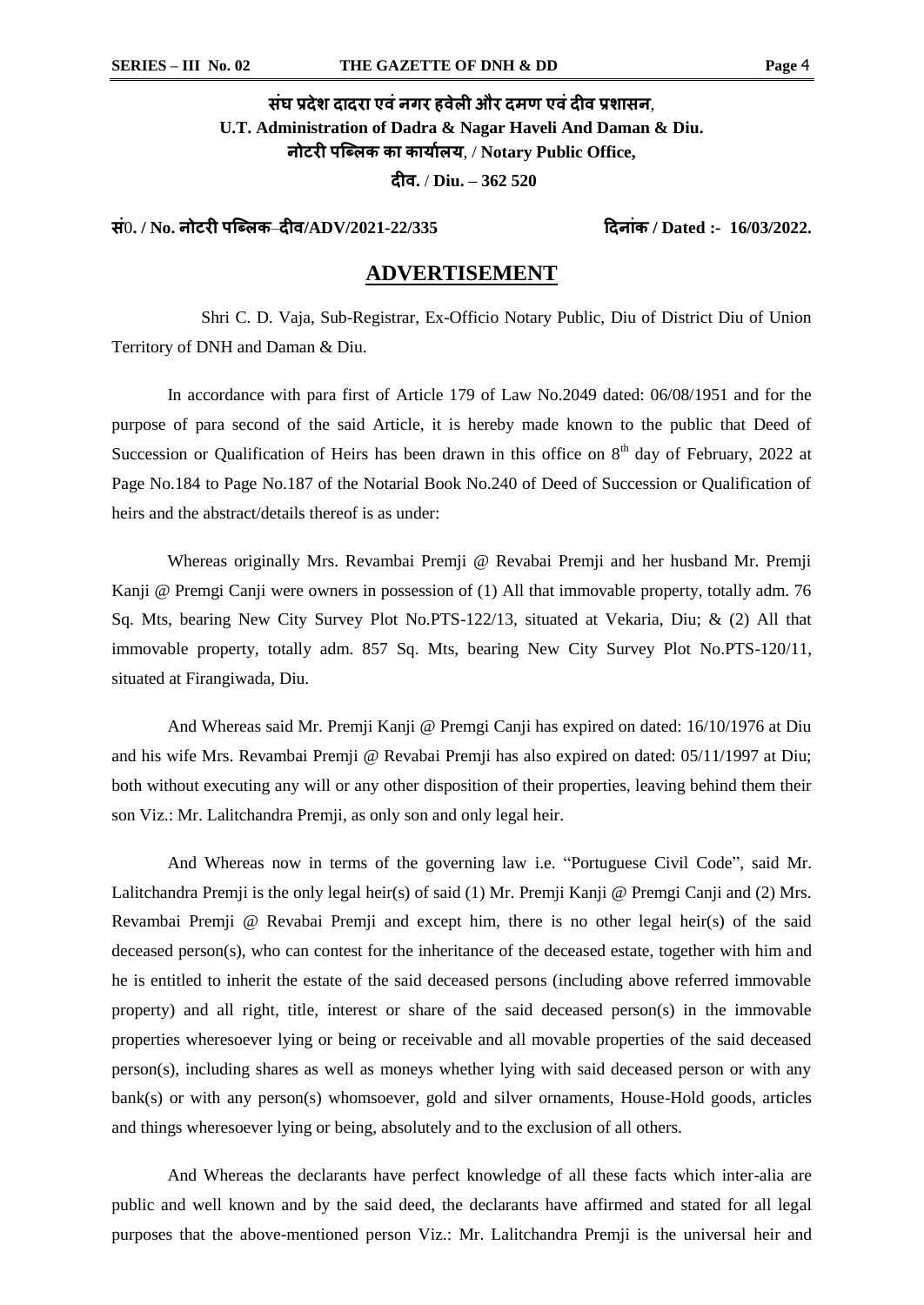# **संघ प्रदेश दादरा एवंनगर हवेली और दमण एवंदीव प्रशासन**, **U.T. Administration of Dadra & Nagar Haveli And Daman & Diu. नोटरी पब्ललक का कार्ाालर्**, / **Notary Public Office, दीव.** / **Diu. – 362 520**

**सं**0**. / No. नोटरी पब्ललक**–**दीव/ADV/2021-22/335 ददनांक / Dated :- 16/03/2022.**

#### **ADVERTISEMENT**

 Shri C. D. Vaja, Sub-Registrar, Ex-Officio Notary Public, Diu of District Diu of Union Territory of DNH and Daman & Diu.

In accordance with para first of Article 179 of Law No.2049 dated: 06/08/1951 and for the purpose of para second of the said Article, it is hereby made known to the public that Deed of Succession or Qualification of Heirs has been drawn in this office on  $8<sup>th</sup>$  day of February, 2022 at Page No.184 to Page No.187 of the Notarial Book No.240 of Deed of Succession or Qualification of heirs and the abstract/details thereof is as under:

Whereas originally Mrs. Revambai Premji @ Revabai Premji and her husband Mr. Premji Kanji @ Premgi Canji were owners in possession of (1) All that immovable property, totally adm. 76 Sq. Mts, bearing New City Survey Plot No.PTS-122/13, situated at Vekaria, Diu; & (2) All that immovable property, totally adm. 857 Sq. Mts, bearing New City Survey Plot No.PTS-120/11, situated at Firangiwada, Diu.

And Whereas said Mr. Premji Kanji @ Premgi Canji has expired on dated: 16/10/1976 at Diu and his wife Mrs. Revambai Premji @ Revabai Premji has also expired on dated: 05/11/1997 at Diu; both without executing any will or any other disposition of their properties, leaving behind them their son Viz.: Mr. Lalitchandra Premji, as only son and only legal heir.

And Whereas now in terms of the governing law i.e. "Portuguese Civil Code", said Mr. Lalitchandra Premji is the only legal heir(s) of said (1) Mr. Premji Kanji @ Premgi Canji and (2) Mrs. Revambai Premji @ Revabai Premji and except him, there is no other legal heir(s) of the said deceased person(s), who can contest for the inheritance of the deceased estate, together with him and he is entitled to inherit the estate of the said deceased persons (including above referred immovable property) and all right, title, interest or share of the said deceased person(s) in the immovable properties wheresoever lying or being or receivable and all movable properties of the said deceased person(s), including shares as well as moneys whether lying with said deceased person or with any bank(s) or with any person(s) whomsoever, gold and silver ornaments, House-Hold goods, articles and things wheresoever lying or being, absolutely and to the exclusion of all others.

And Whereas the declarants have perfect knowledge of all these facts which inter-alia are public and well known and by the said deed, the declarants have affirmed and stated for all legal purposes that the above-mentioned person Viz.: Mr. Lalitchandra Premji is the universal heir and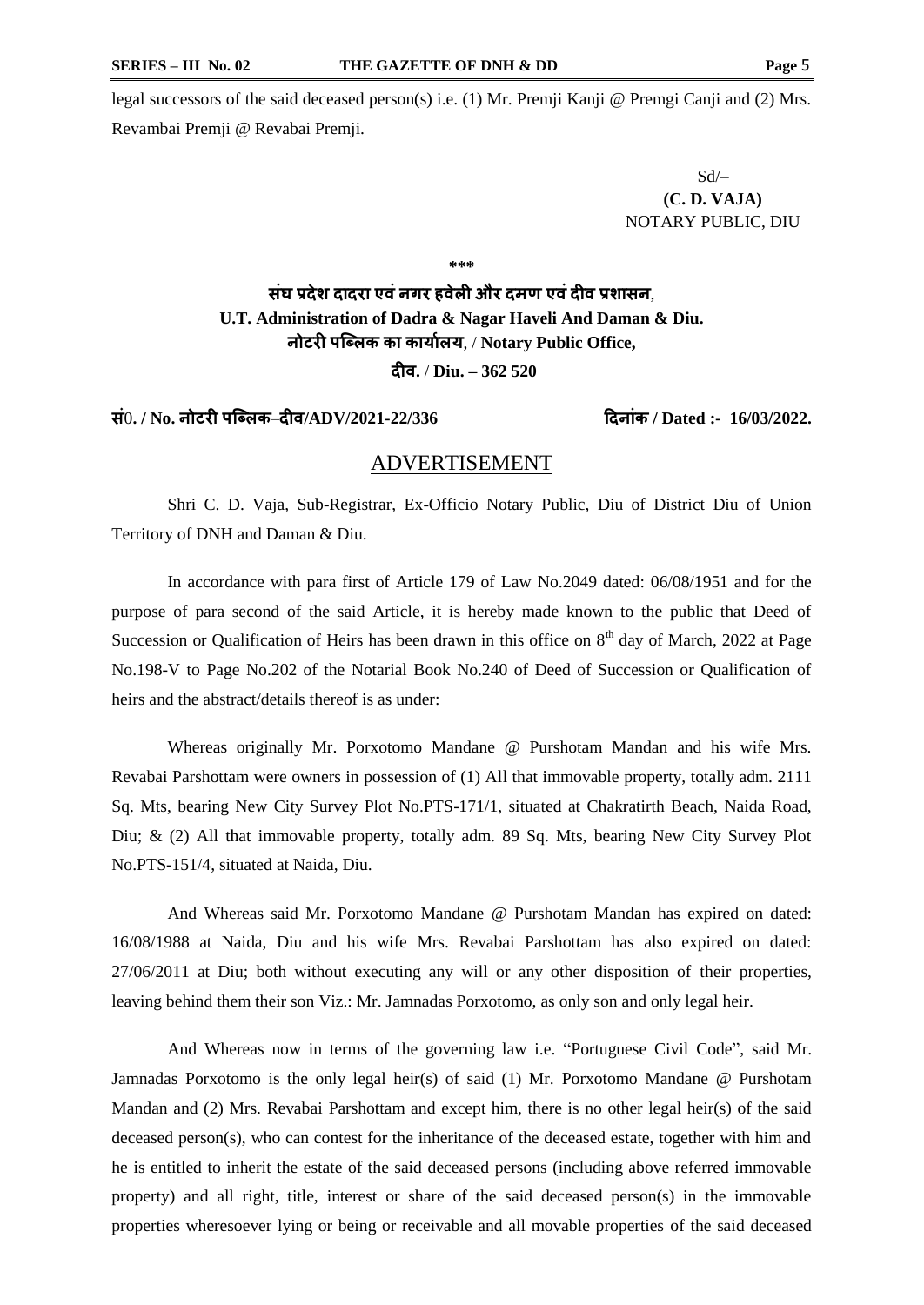legal successors of the said deceased person(s) i.e. (1) Mr. Premji Kanji @ Premgi Canji and (2) Mrs. Revambai Premji @ Revabai Premji.

> Sd/– **(C. D. VAJA)** NOTARY PUBLIC, DIU

**\*\*\***

# **संघ प्रदेश दादरा एवंनगर हवेली और दमण एवंदीव प्रशासन**, **U.T. Administration of Dadra & Nagar Haveli And Daman & Diu. नोटरी पब्ललक का कार्ाालर्**, / **Notary Public Office,**

**दीव.** / **Diu. – 362 520**

#### **सं**0**. / No. नोटरी पब्ललक**–**दीव/ADV/2021-22/336 ददनांक / Dated :- 16/03/2022.**

#### ADVERTISEMENT

Shri C. D. Vaja, Sub-Registrar, Ex-Officio Notary Public, Diu of District Diu of Union Territory of DNH and Daman & Diu.

In accordance with para first of Article 179 of Law No.2049 dated: 06/08/1951 and for the purpose of para second of the said Article, it is hereby made known to the public that Deed of Succession or Qualification of Heirs has been drawn in this office on  $8<sup>th</sup>$  day of March, 2022 at Page No.198-V to Page No.202 of the Notarial Book No.240 of Deed of Succession or Qualification of heirs and the abstract/details thereof is as under:

Whereas originally Mr. Porxotomo Mandane @ Purshotam Mandan and his wife Mrs. Revabai Parshottam were owners in possession of (1) All that immovable property, totally adm. 2111 Sq. Mts, bearing New City Survey Plot No.PTS-171/1, situated at Chakratirth Beach, Naida Road, Diu; & (2) All that immovable property, totally adm. 89 Sq. Mts, bearing New City Survey Plot No.PTS-151/4, situated at Naida, Diu.

And Whereas said Mr. Porxotomo Mandane @ Purshotam Mandan has expired on dated: 16/08/1988 at Naida, Diu and his wife Mrs. Revabai Parshottam has also expired on dated: 27/06/2011 at Diu; both without executing any will or any other disposition of their properties, leaving behind them their son Viz.: Mr. Jamnadas Porxotomo, as only son and only legal heir.

And Whereas now in terms of the governing law i.e. "Portuguese Civil Code", said Mr. Jamnadas Porxotomo is the only legal heir(s) of said (1) Mr. Porxotomo Mandane @ Purshotam Mandan and (2) Mrs. Revabai Parshottam and except him, there is no other legal heir(s) of the said deceased person(s), who can contest for the inheritance of the deceased estate, together with him and he is entitled to inherit the estate of the said deceased persons (including above referred immovable property) and all right, title, interest or share of the said deceased person(s) in the immovable properties wheresoever lying or being or receivable and all movable properties of the said deceased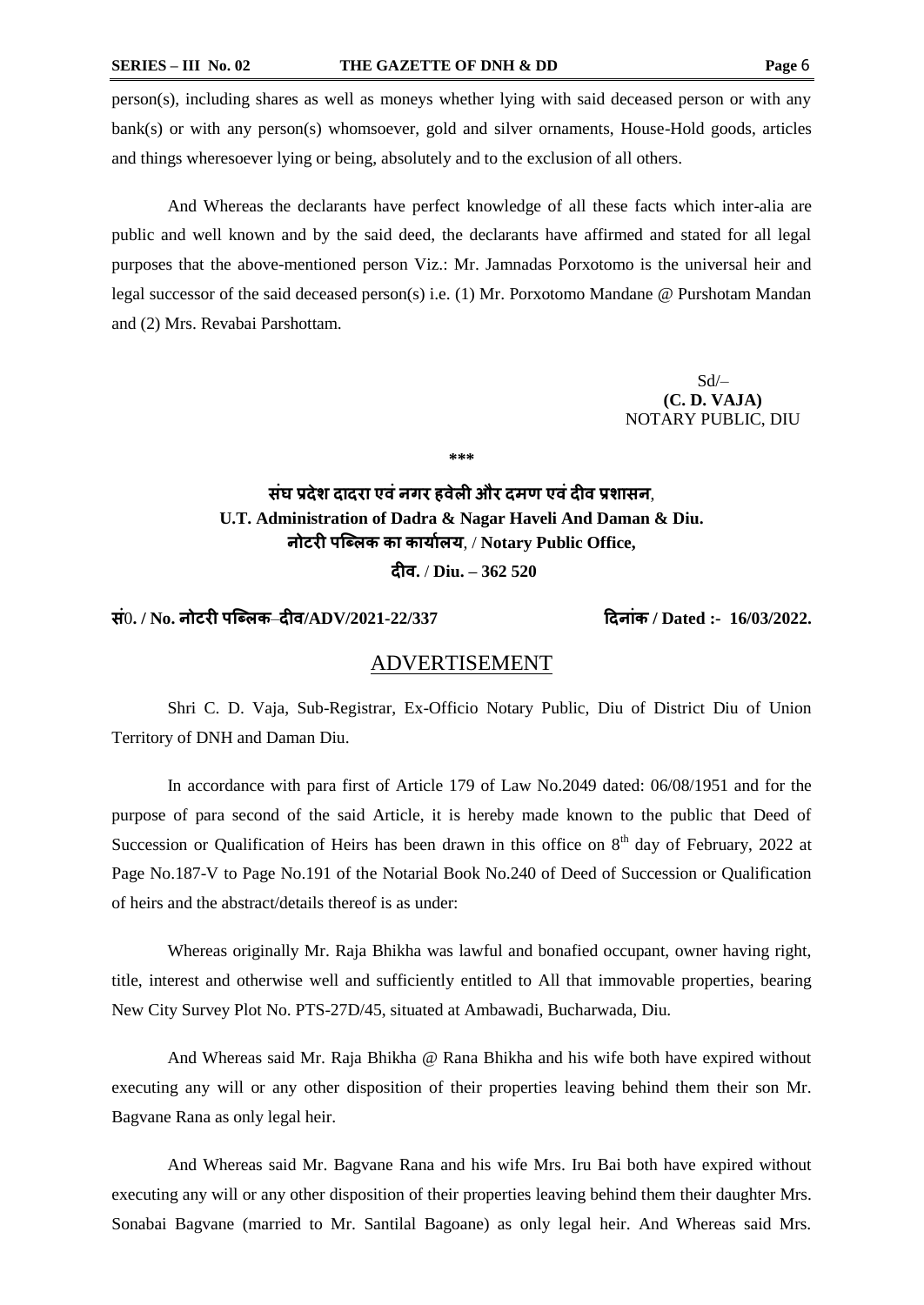person(s), including shares as well as moneys whether lying with said deceased person or with any bank(s) or with any person(s) whomsoever, gold and silver ornaments, House-Hold goods, articles and things wheresoever lying or being, absolutely and to the exclusion of all others.

And Whereas the declarants have perfect knowledge of all these facts which inter-alia are public and well known and by the said deed, the declarants have affirmed and stated for all legal purposes that the above-mentioned person Viz.: Mr. Jamnadas Porxotomo is the universal heir and legal successor of the said deceased person(s) i.e. (1) Mr. Porxotomo Mandane @ Purshotam Mandan and (2) Mrs. Revabai Parshottam.

> Sd/– **(C. D. VAJA)** NOTARY PUBLIC, DIU

**\*\*\***

## **संघ प्रदेश दादरा एवंनगर हवेली और दमण एवंदीव प्रशासन**, **U.T. Administration of Dadra & Nagar Haveli And Daman & Diu. नोटरी पब्ललक का कार्ाालर्**, / **Notary Public Office, दीव.** / **Diu. – 362 520**

**सं**0**. / No. नोटरी पब्ललक**–**दीव/ADV/2021-22/337 ददनांक / Dated :- 16/03/2022.**

## ADVERTISEMENT

Shri C. D. Vaja, Sub-Registrar, Ex-Officio Notary Public, Diu of District Diu of Union Territory of DNH and Daman Diu.

In accordance with para first of Article 179 of Law No.2049 dated: 06/08/1951 and for the purpose of para second of the said Article, it is hereby made known to the public that Deed of Succession or Qualification of Heirs has been drawn in this office on  $8<sup>th</sup>$  day of February, 2022 at Page No.187-V to Page No.191 of the Notarial Book No.240 of Deed of Succession or Qualification of heirs and the abstract/details thereof is as under:

Whereas originally Mr. Raja Bhikha was lawful and bonafied occupant, owner having right, title, interest and otherwise well and sufficiently entitled to All that immovable properties, bearing New City Survey Plot No. PTS-27D/45, situated at Ambawadi, Bucharwada, Diu.

And Whereas said Mr. Raja Bhikha @ Rana Bhikha and his wife both have expired without executing any will or any other disposition of their properties leaving behind them their son Mr. Bagvane Rana as only legal heir.

And Whereas said Mr. Bagvane Rana and his wife Mrs. Iru Bai both have expired without executing any will or any other disposition of their properties leaving behind them their daughter Mrs. Sonabai Bagvane (married to Mr. Santilal Bagoane) as only legal heir. And Whereas said Mrs.